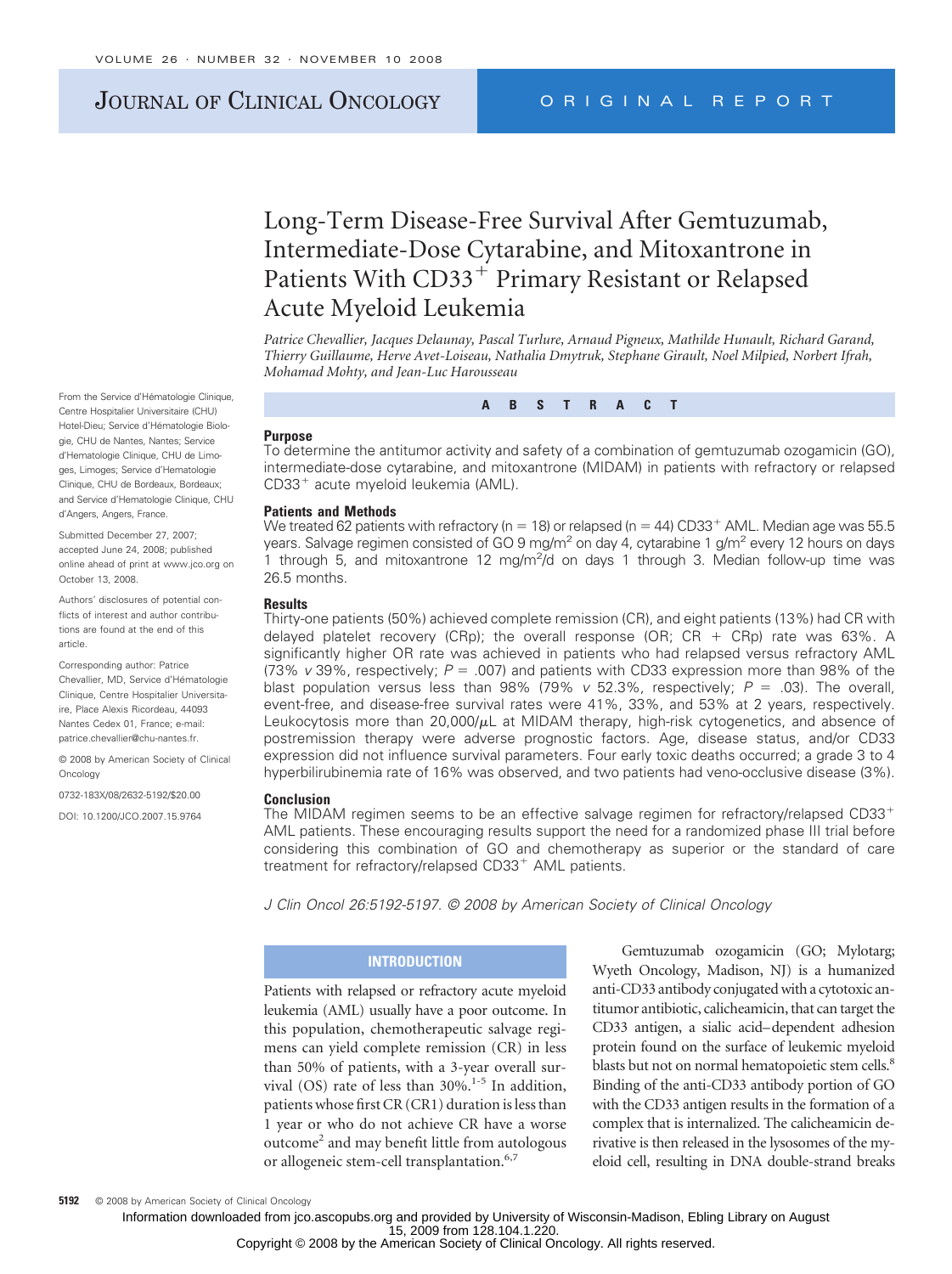# JOURNAL OF CLINICAL ONCOLOGY ORIGINAL REPORT

# Long-Term Disease-Free Survival After Gemtuzumab, Intermediate-Dose Cytarabine, and Mitoxantrone in Patients With CD33<sup>+</sup> Primary Resistant or Relapsed Acute Myeloid Leukemia

*Patrice Chevallier, Jacques Delaunay, Pascal Turlure, Arnaud Pigneux, Mathilde Hunault, Richard Garand, Thierry Guillaume, Herve Avet-Loiseau, Nathalia Dmytruk, Stephane Girault, Noel Milpied, Norbert Ifrah, Mohamad Mohty, and Jean-Luc Harousseau*

**ABSTRACT**

#### **Purpose**

To determine the antitumor activity and safety of a combination of gemtuzumab ozogamicin (GO), intermediate-dose cytarabine, and mitoxantrone (MIDAM) in patients with refractory or relapsed CD33<sup>+</sup> acute myeloid leukemia (AML).

#### **Patients and Methods**

We treated 62 patients with refractory (n - 18) or relapsed (n - 44) CD33 AML. Median age was 55.5 years. Salvage regimen consisted of GO 9 mg/m<sup>2</sup> on day 4, cytarabine 1 g/m<sup>2</sup> every 12 hours on days 1 through  $\overline{5}$ , and mitoxantrone 12 mg/m<sup>2</sup>/d on days 1 through 3. Median follow-up time was 26.5 months.

#### **Results**

Thirty-one patients (50%) achieved complete remission (CR), and eight patients (13%) had CR with delayed platelet recovery (CRp); the overall response (OR;  $CR + CRp$ ) rate was 63%. A significantly higher OR rate was achieved in patients who had relapsed versus refractory AML (73% *v* 39%, respectively;  $P = 0.007$ ) and patients with CD33 expression more than 98% of the blast population versus less than 98% (79% v 52.3%, respectively; P = .03). The overall, event-free, and disease-free survival rates were 41%, 33%, and 53% at 2 years, respectively. Leukocytosis more than  $20,000/\mu$ L at MIDAM therapy, high-risk cytogenetics, and absence of postremission therapy were adverse prognostic factors. Age, disease status, and/or CD33 expression did not influence survival parameters. Four early toxic deaths occurred; a grade 3 to 4 hyperbilirubinemia rate of 16% was observed, and two patients had veno-occlusive disease (3%).

#### **Conclusion**

The MIDAM regimen seems to be an effective salvage regimen for refractory/relapsed CD33 AML patients. These encouraging results support the need for a randomized phase III trial before considering this combination of GO and chemotherapy as superior or the standard of care treatment for refractory/relapsed CD33<sup>+</sup> AML patients.

*J Clin Oncol 26:5192-5197. © 2008 by American Society of Clinical Oncology*

## **INTRODUCTION**

Patients with relapsed or refractory acute myeloid leukemia (AML) usually have a poor outcome. In this population, chemotherapeutic salvage regimens can yield complete remission (CR) in less than 50% of patients, with a 3-year overall survival (OS) rate of less than  $30\%$ .<sup>1-5</sup> In addition, patients whose first CR (CR1) duration is less than 1 year or who do not achieve CR have a worse outcome<sup>2</sup> and may benefit little from autologous or allogeneic stem-cell transplantation.<sup>6,7</sup>

Gemtuzumab ozogamicin (GO; Mylotarg; Wyeth Oncology, Madison, NJ) is a humanized anti-CD33 antibody conjugated with a cytotoxic antitumor antibiotic, calicheamicin, that can target the CD33 antigen, a sialic acid–dependent adhesion protein found on the surface of leukemic myeloid blasts but not on normal hematopoietic stem cells.<sup>8</sup> Binding of the anti-CD33 antibody portion of GO with the CD33 antigen results in the formation of a complex that is internalized. The calicheamicin derivative is then released in the lysosomes of the myeloid cell, resulting in DNA double-strand breaks

From the Service d'Hématologie Clinique, Centre Hospitalier Universitaire (CHU) Hotel-Dieu: Service d'Hématologie Biologie, CHU de Nantes, Nantes; Service d'Hematologie Clinique, CHU de Limoges, Limoges; Service d'Hematologie Clinique, CHU de Bordeaux, Bordeaux; and Service d'Hematologie Clinique, CHU d'Angers, Angers, France.

Submitted December 27, 2007; accepted June 24, 2008; published online ahead of print at www.jco.org on October 13, 2008.

Authors' disclosures of potential conflicts of interest and author contributions are found at the end of this article.

Corresponding author: Patrice Chevallier, MD, Service d'Hématologie Clinique, Centre Hospitalier Universitaire, Place Alexis Ricordeau, 44093 Nantes Cedex 01, France; e-mail: patrice.chevallier@chu-nantes.fr.

© 2008 by American Society of Clinical **Oncology** 

0732-183X/08/2632-5192/\$20.00

DOI: 10.1200/JCO.2007.15.9764

15, 2009 from 128.104.1.220. Information downloaded from jco.ascopubs.org and provided by University of Wisconsin-Madison, Ebling Library on August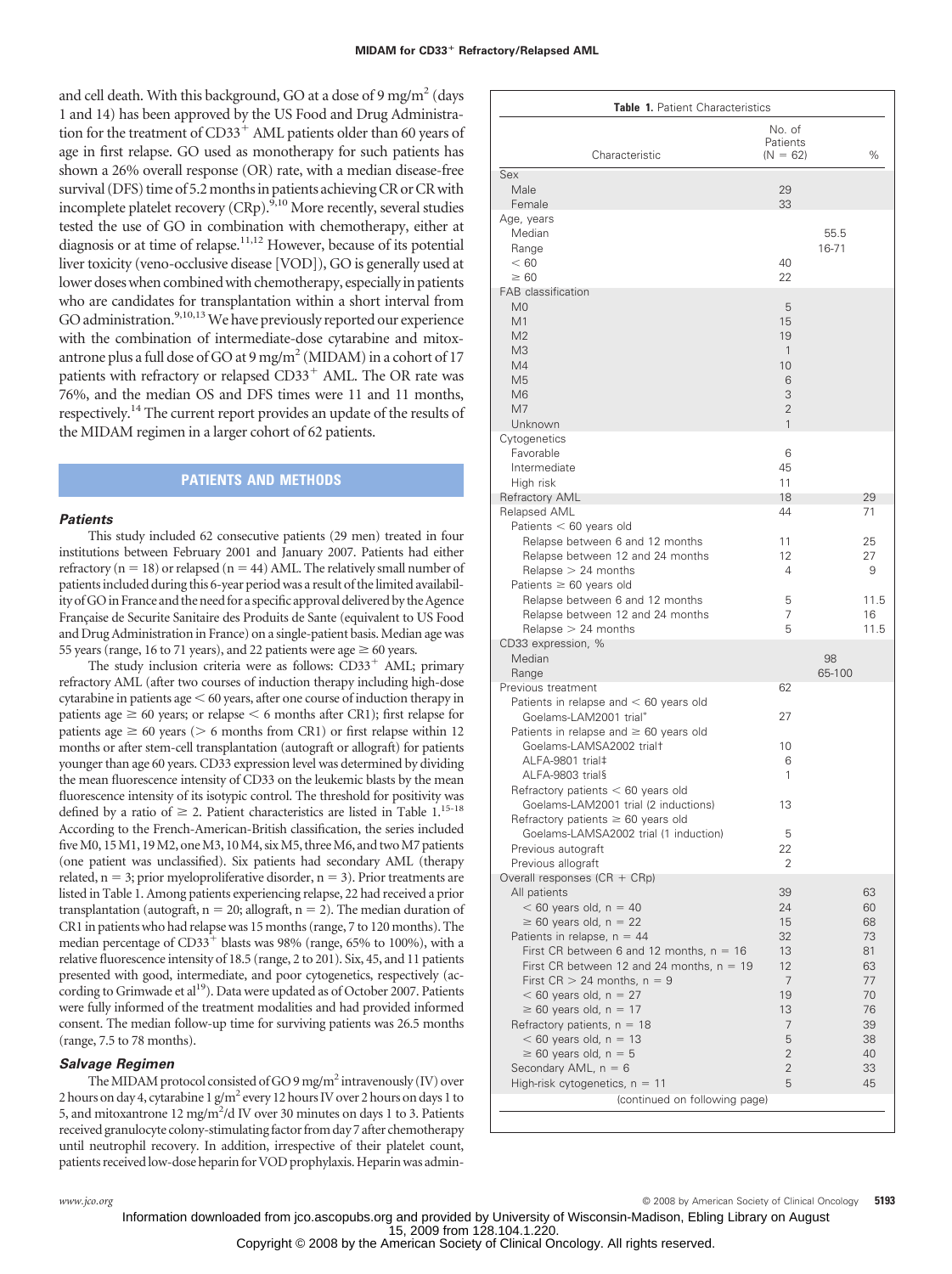and cell death. With this background, GO at a dose of 9 mg/m<sup>2</sup> (days 1 and 14) has been approved by the US Food and Drug Administration for the treatment of  $CD33<sup>+</sup>$  AML patients older than 60 years of age in first relapse. GO used as monotherapy for such patients has shown a 26% overall response (OR) rate, with a median disease-free survival (DFS) time of 5.2 months in patients achieving CR or CR with incomplete platelet recovery  $(CRp)$ .<sup>9,10</sup> More recently, several studies tested the use of GO in combination with chemotherapy, either at diagnosis or at time of relapse.<sup>11,12</sup> However, because of its potential liver toxicity (veno-occlusive disease [VOD]), GO is generally used at lower doses when combined with chemotherapy, especially in patients who are candidates for transplantation within a short interval from GO administration.<sup>9,10,13</sup> We have previously reported our experience with the combination of intermediate-dose cytarabine and mitoxantrone plus a full dose of GO at  $9 \,\mathrm{mg/m^2}$  (MIDAM) in a cohort of 17 patients with refractory or relapsed CD33<sup>+</sup> AML. The OR rate was 76%, and the median OS and DFS times were 11 and 11 months, respectively.14 The current report provides an update of the results of the MIDAM regimen in a larger cohort of 62 patients.

## **PATIENTS AND METHODS**

#### *Patients*

This study included 62 consecutive patients (29 men) treated in four institutions between February 2001 and January 2007. Patients had either refractory ( $n = 18$ ) or relapsed ( $n = 44$ ) AML. The relatively small number of patients included during this 6-year period was a result of the limited availability of GO in France and the need for a specific approval delivered by the Agence Française de Securite Sanitaire des Produits de Sante (equivalent to US Food and Drug Administration in France) on a single-patient basis. Median age was 55 years (range, 16 to 71 years), and 22 patients were age  $\geq 60$  years.

The study inclusion criteria were as follows:  $CD33<sup>+</sup>$  AML; primary refractory AML (after two courses of induction therapy including high-dose cytarabine in patients age  $<$  60 years, after one course of induction therapy in patients age  $\geq 60$  years; or relapse  $\leq 6$  months after CR1); first relapse for patients age  $\geq 60$  years ( $> 6$  months from CR1) or first relapse within 12 months or after stem-cell transplantation (autograft or allograft) for patients younger than age 60 years. CD33 expression level was determined by dividing the mean fluorescence intensity of CD33 on the leukemic blasts by the mean fluorescence intensity of its isotypic control. The threshold for positivity was defined by a ratio of  $\geq 2$ . Patient characteristics are listed in Table 1.<sup>15-18</sup> According to the French-American-British classification, the series included five M0,  $15M1$ ,  $19M2$ , one M3,  $10M4$ , six M5, three M6, and two M7 patients (one patient was unclassified). Six patients had secondary AML (therapy related,  $n = 3$ ; prior myeloproliferative disorder,  $n = 3$ ). Prior treatments are listed in Table 1. Among patients experiencing relapse, 22 had received a prior transplantation (autograft,  $n = 20$ ; allograft,  $n = 2$ ). The median duration of CR1 in patients who had relapse was 15 months (range, 7 to 120 months). The median percentage of  $CD33^+$  blasts was 98% (range, 65% to 100%), with a relative fluorescence intensity of 18.5 (range, 2 to 201). Six, 45, and 11 patients presented with good, intermediate, and poor cytogenetics, respectively (according to Grimwade et al<sup>19</sup>). Data were updated as of October 2007. Patients were fully informed of the treatment modalities and had provided informed consent. The median follow-up time for surviving patients was 26.5 months (range, 7.5 to 78 months).

#### *Salvage Regimen*

The MIDAM protocol consisted of GO 9 mg/m<sup>2</sup> intravenously (IV) over 2 hours on day 4, cytarabine 1 g/m<sup>2</sup> every 12 hours IV over 2 hours on days 1 to 5, and mitoxantrone 12 mg/m<sup>2</sup>/d IV over 30 minutes on days 1 to 3. Patients received granulocyte colony-stimulating factor from day 7 after chemotherapy until neutrophil recovery. In addition, irrespective of their platelet count, patients received low-dose heparin for VOD prophylaxis. Heparin was admin-

| Table 1. Patient Characteristics                                            |                                  |        |          |  |
|-----------------------------------------------------------------------------|----------------------------------|--------|----------|--|
| Characteristic                                                              | No. of<br>Patients<br>$(N = 62)$ |        | $\%$     |  |
| Sex                                                                         |                                  |        |          |  |
| Male<br>Female                                                              | 29<br>33                         |        |          |  |
| Age, years                                                                  |                                  |        |          |  |
| Median                                                                      |                                  | 55.5   |          |  |
| Range<br>< 60                                                               | 40                               | 16-71  |          |  |
| $\geq 60$                                                                   | 22                               |        |          |  |
| FAB classification                                                          |                                  |        |          |  |
| M <sub>0</sub>                                                              | 5                                |        |          |  |
| M1<br>M <sub>2</sub>                                                        | 15<br>19                         |        |          |  |
| M <sub>3</sub>                                                              | $\mathbf{1}$                     |        |          |  |
| M4                                                                          | 10                               |        |          |  |
| M <sub>5</sub>                                                              | 6                                |        |          |  |
| M <sub>6</sub>                                                              | 3                                |        |          |  |
| M <sub>7</sub><br>Unknown                                                   | $\overline{2}$<br>$\mathbf{1}$   |        |          |  |
| Cytogenetics                                                                |                                  |        |          |  |
| Favorable                                                                   | 6                                |        |          |  |
| Intermediate                                                                | 45                               |        |          |  |
| High risk                                                                   | 11                               |        |          |  |
| Refractory AML<br>Relapsed AML                                              | 18<br>44                         |        | 29<br>71 |  |
| Patients $< 60$ years old                                                   |                                  |        |          |  |
| Relapse between 6 and 12 months                                             | 11                               |        | 25       |  |
| Relapse between 12 and 24 months                                            | 12                               |        | 27       |  |
| $Relapse > 24$ months                                                       | 4                                |        | 9        |  |
| Patients $\geq 60$ years old<br>Relapse between 6 and 12 months             | 5                                |        | 11.5     |  |
| Relapse between 12 and 24 months                                            | 7                                |        | 16       |  |
| $Relapse > 24$ months                                                       | 5                                |        | 11.5     |  |
| CD33 expression, %                                                          |                                  |        |          |  |
| Median                                                                      |                                  | 98     |          |  |
| Range<br>Previous treatment                                                 | 62                               | 65-100 |          |  |
| Patients in relapse and $< 60$ years old                                    |                                  |        |          |  |
| Goelams-LAM2001 trial*                                                      | 27                               |        |          |  |
| Patients in relapse and $\geq 60$ years old                                 |                                  |        |          |  |
| Goelams-LAMSA2002 trialt                                                    | 10                               |        |          |  |
| ALFA-9801 trial‡<br>ALFA-9803 trial§                                        | 6<br>1                           |        |          |  |
| Refractory patients $< 60$ years old                                        |                                  |        |          |  |
| Goelams-LAM2001 trial (2 inductions)                                        | 13                               |        |          |  |
| Refractory patients $\geq 60$ years old                                     |                                  |        |          |  |
| Goelams-LAMSA2002 trial (1 induction)                                       | 5                                |        |          |  |
| Previous autograft<br>Previous allograft                                    | 22<br>2                          |        |          |  |
| Overall responses (CR + CRp)                                                |                                  |        |          |  |
| All patients                                                                | 39                               |        | 63       |  |
| $< 60$ years old, $n = 40$                                                  | 24                               |        | 60       |  |
| $\geq 60$ years old, n = 22                                                 | 15                               |        | 68       |  |
| Patients in relapse, $n = 44$<br>First CR between 6 and 12 months, $n = 16$ | 32<br>13                         |        | 73<br>81 |  |
| First CR between 12 and 24 months, $n = 19$                                 | 12                               |        | 63       |  |
| First $CR > 24$ months, $n = 9$                                             | 7                                |        | 77       |  |
| $<$ 60 years old, n = 27                                                    | 19                               |        | 70       |  |
| $\geq 60$ years old, n = 17                                                 | 13                               |        | 76       |  |
| Refractory patients, $n = 18$<br>$< 60$ years old, $n = 13$                 | 7<br>5                           |        | 39<br>38 |  |
| $\geq 60$ years old, n = 5                                                  | $\overline{2}$                   |        | 40       |  |
| Secondary AML, $n = 6$                                                      | $\overline{2}$                   |        | 33       |  |
| High-risk cytogenetics, $n = 11$                                            | 5                                |        | 45       |  |
| (continued on following page)                                               |                                  |        |          |  |
|                                                                             |                                  |        |          |  |

*www.jco.org* © 2008 by American Society of Clinical Oncology **5193**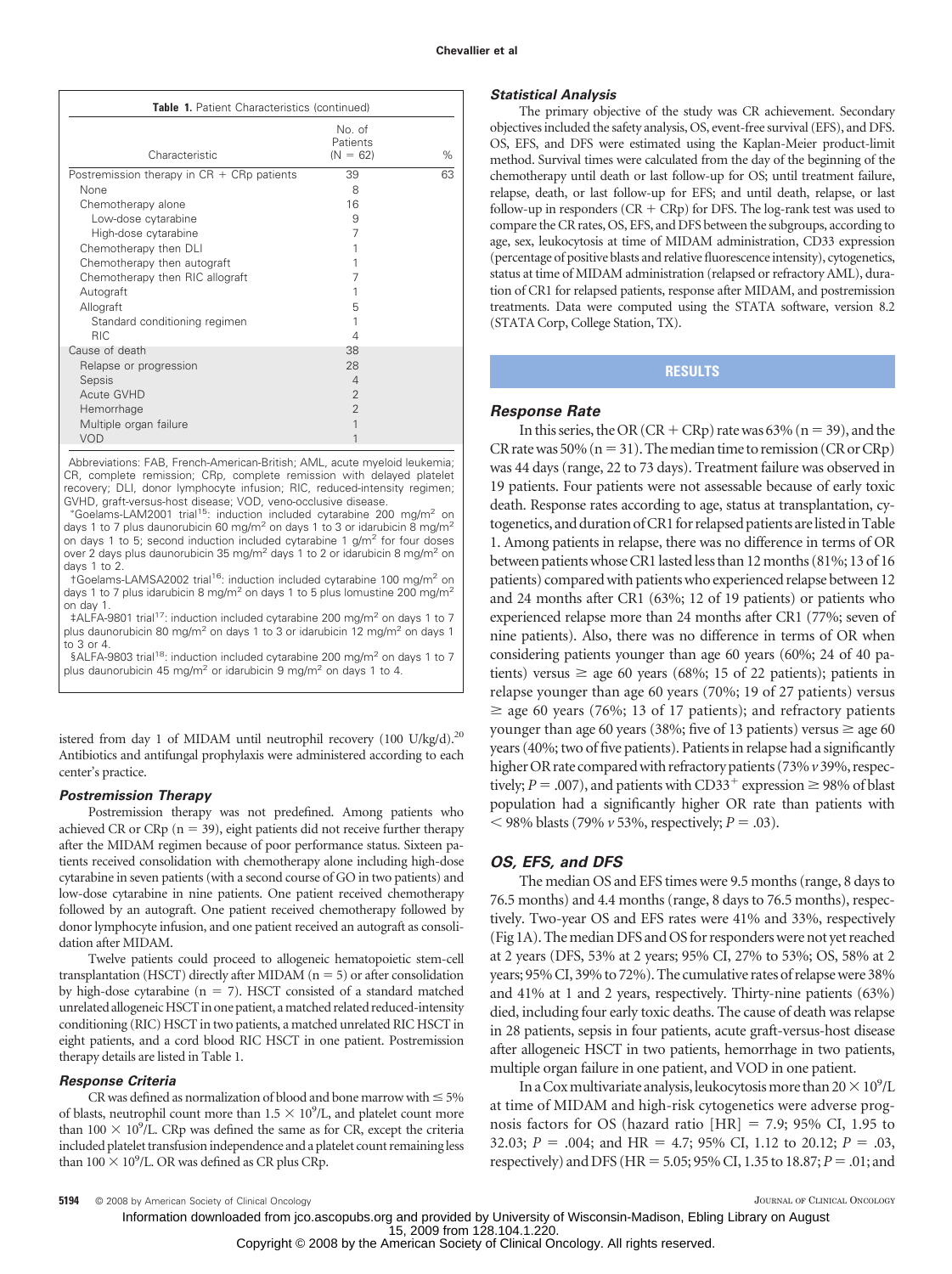| Table 1. Patient Characteristics (continued) |                                  |      |
|----------------------------------------------|----------------------------------|------|
| Characteristic                               | No. of<br>Patients<br>$(N = 62)$ | $\%$ |
| Postremission therapy in $CR + CRp$ patients | 39                               | 63   |
| None                                         | 8                                |      |
| Chemotherapy alone                           | 16                               |      |
| Low-dose cytarabine                          | 9                                |      |
| High-dose cytarabine                         | 7                                |      |
| Chemotherapy then DLI                        |                                  |      |
| Chemotherapy then autograft                  |                                  |      |
| Chemotherapy then RIC allograft              | 7                                |      |
| Autograft                                    |                                  |      |
| Allograft                                    | 5                                |      |
| Standard conditioning regimen                |                                  |      |
| <b>RIC</b>                                   | 4                                |      |
| Cause of death                               | 38                               |      |
| Relapse or progression                       | 28                               |      |
| Sepsis                                       | $\overline{4}$                   |      |
| Acute GVHD                                   | $\overline{2}$                   |      |
| Hemorrhage                                   | $\overline{2}$                   |      |
| Multiple organ failure                       | 1                                |      |
| <b>VOD</b>                                   |                                  |      |

Abbreviations: FAB, French-American-British; AML, acute myeloid leukemia; CR, complete remission; CRp, complete remission with delayed platelet recovery; DLI, donor lymphocyte infusion; RIC, reduced-intensity regimen; GVHD, graft-versus-host disease; VOD, veno-occlusive disease.

 Goelams-LAM2001 trial15: induction included cytarabine 200 mg/m2 on days 1 to 7 plus daunorubicin 60 mg/m<sup>2</sup> on days 1 to 3 or idarubicin 8 mg/m<sup>2</sup> on days 1 to 5; second induction included cytarabine 1  $g/m^2$  for four doses over 2 days plus daunorubicin 35 mg/m<sup>2</sup> days 1 to 2 or idarubicin 8 mg/m<sup>2</sup> on days 1 to 2.

†Goelams-LAMSA2002 trial16: induction included cytarabine 100 mg/m2 on days 1 to 7 plus idarubicin 8 mg/m<sup>2</sup> on days 1 to 5 plus lomustine 200 mg/m<sup>2</sup> on day 1.

 $\pm$ ALFA-9801 trial<sup>17</sup>: induction included cytarabine 200 mg/m<sup>2</sup> on days 1 to 7 plus daunorubicin 80 mg/m<sup>2</sup> on days 1 to 3 or idarubicin 12 mg/m<sup>2</sup> on days 1 to 3 or 4.

§ALFA-9803 trial<sup>18</sup>: induction included cytarabine 200 mg/m<sup>2</sup> on days 1 to 7 plus daunorubicin 45 mg/m<sup>2</sup> or idarubicin 9 mg/m<sup>2</sup> on days 1 to 4.

istered from day 1 of MIDAM until neutrophil recovery  $(100 \text{ U/kg/d}).^{20}$ Antibiotics and antifungal prophylaxis were administered according to each center's practice.

#### *Postremission Therapy*

Postremission therapy was not predefined. Among patients who achieved CR or CRp  $(n = 39)$ , eight patients did not receive further therapy after the MIDAM regimen because of poor performance status. Sixteen patients received consolidation with chemotherapy alone including high-dose cytarabine in seven patients (with a second course of GO in two patients) and low-dose cytarabine in nine patients. One patient received chemotherapy followed by an autograft. One patient received chemotherapy followed by donor lymphocyte infusion, and one patient received an autograft as consolidation after MIDAM.

Twelve patients could proceed to allogeneic hematopoietic stem-cell transplantation (HSCT) directly after MIDAM  $(n = 5)$  or after consolidation by high-dose cytarabine  $(n = 7)$ . HSCT consisted of a standard matched unrelated allogeneic HSCT in one patient, a matched related reduced-intensity conditioning (RIC) HSCT in two patients, a matched unrelated RIC HSCT in eight patients, and a cord blood RIC HSCT in one patient. Postremission therapy details are listed in Table 1.

#### *Response Criteria*

CR was defined as normalization of blood and bone marrow with  $\leq 5\%$ of blasts, neutrophil count more than  $1.5 \times 10^9$ /L, and platelet count more than 100  $\times$  10<sup>9</sup>/L. CRp was defined the same as for CR, except the criteria included platelet transfusion independence and a platelet count remaining less than  $100 \times 10^9$ /L. OR was defined as CR plus CRp.

#### *Statistical Analysis*

The primary objective of the study was CR achievement. Secondary objectives included the safety analysis, OS, event-free survival (EFS), and DFS. OS, EFS, and DFS were estimated using the Kaplan-Meier product-limit method. Survival times were calculated from the day of the beginning of the chemotherapy until death or last follow-up for OS; until treatment failure, relapse, death, or last follow-up for EFS; and until death, relapse, or last follow-up in responders (CR  $+$  CRp) for DFS. The log-rank test was used to compare the CR rates, OS, EFS, and DFS between the subgroups, according to age, sex, leukocytosis at time of MIDAM administration, CD33 expression (percentage of positive blasts and relative fluorescence intensity), cytogenetics, status at time of MIDAM administration (relapsed or refractory AML), duration of CR1 for relapsed patients, response after MIDAM, and postremission treatments. Data were computed using the STATA software, version 8.2 (STATA Corp, College Station, TX).

# **RESULTS**

### *Response Rate*

In this series, the OR (CR + CRp) rate was  $63\%$  (n = 39), and the CR rate was 50% ( $n = 31$ ). The median time to remission (CR or CRp) was 44 days (range, 22 to 73 days). Treatment failure was observed in 19 patients. Four patients were not assessable because of early toxic death. Response rates according to age, status at transplantation, cytogenetics, and duration of CR1 for relapsed patients are listed in Table 1. Among patients in relapse, there was no difference in terms of OR between patients whose CR1 lasted less than 12 months (81%; 13 of 16 patients) compared with patients who experienced relapse between 12 and 24 months after CR1 (63%; 12 of 19 patients) or patients who experienced relapse more than 24 months after CR1 (77%; seven of nine patients). Also, there was no difference in terms of OR when considering patients younger than age 60 years (60%; 24 of 40 patients) versus  $\geq$  age 60 years (68%; 15 of 22 patients); patients in relapse younger than age 60 years (70%; 19 of 27 patients) versus  $\geq$  age 60 years (76%; 13 of 17 patients); and refractory patients younger than age 60 years (38%; five of 13 patients) versus  $\geq$  age 60 years (40%; two of five patients). Patients in relapse had a significantly higher OR rate compared with refractory patients (73%  $v$  39%, respectively;  $P = .007$ ), and patients with CD33<sup>+</sup> expression  $\geq$  98% of blast population had a significantly higher OR rate than patients with  $<$  98% blasts (79%  $\nu$  53%, respectively; *P* = .03).

### *OS, EFS, and DFS*

The median OS and EFS times were 9.5 months (range, 8 days to 76.5 months) and 4.4 months (range, 8 days to 76.5 months), respectively. Two-year OS and EFS rates were 41% and 33%, respectively (Fig 1A). The median DFS and OS for responders were not yet reached at 2 years (DFS, 53% at 2 years; 95% CI, 27% to 53%; OS, 58% at 2 years; 95%CI, 39% to 72%). The cumulative rates of relapsewere 38% and 41% at 1 and 2 years, respectively. Thirty-nine patients (63%) died, including four early toxic deaths. The cause of death was relapse in 28 patients, sepsis in four patients, acute graft-versus-host disease after allogeneic HSCT in two patients, hemorrhage in two patients, multiple organ failure in one patient, and VOD in one patient.

In a Cox multivariate analysis, leukocytosis more than  $20 \times 10^9$ /L at time of MIDAM and high-risk cytogenetics were adverse prognosis factors for OS (hazard ratio  $[HR] = 7.9; 95\%$  CI, 1.95 to 32.03;  $P = .004$ ; and HR = 4.7; 95% CI, 1.12 to 20.12;  $P = .03$ , respectively) and DFS (HR = 5.05; 95% CI, 1.35 to 18.87; *P* = .01; and

**5194** © 2008 by American Society of Clinical Oncology **JOURNAL OF CLINICAL ONCOLOGY** JOURNAL OF CLINICAL ONCOLOGY

15, 2009 from 128.104.1.220. Information downloaded from jco.ascopubs.org and provided by University of Wisconsin-Madison, Ebling Library on August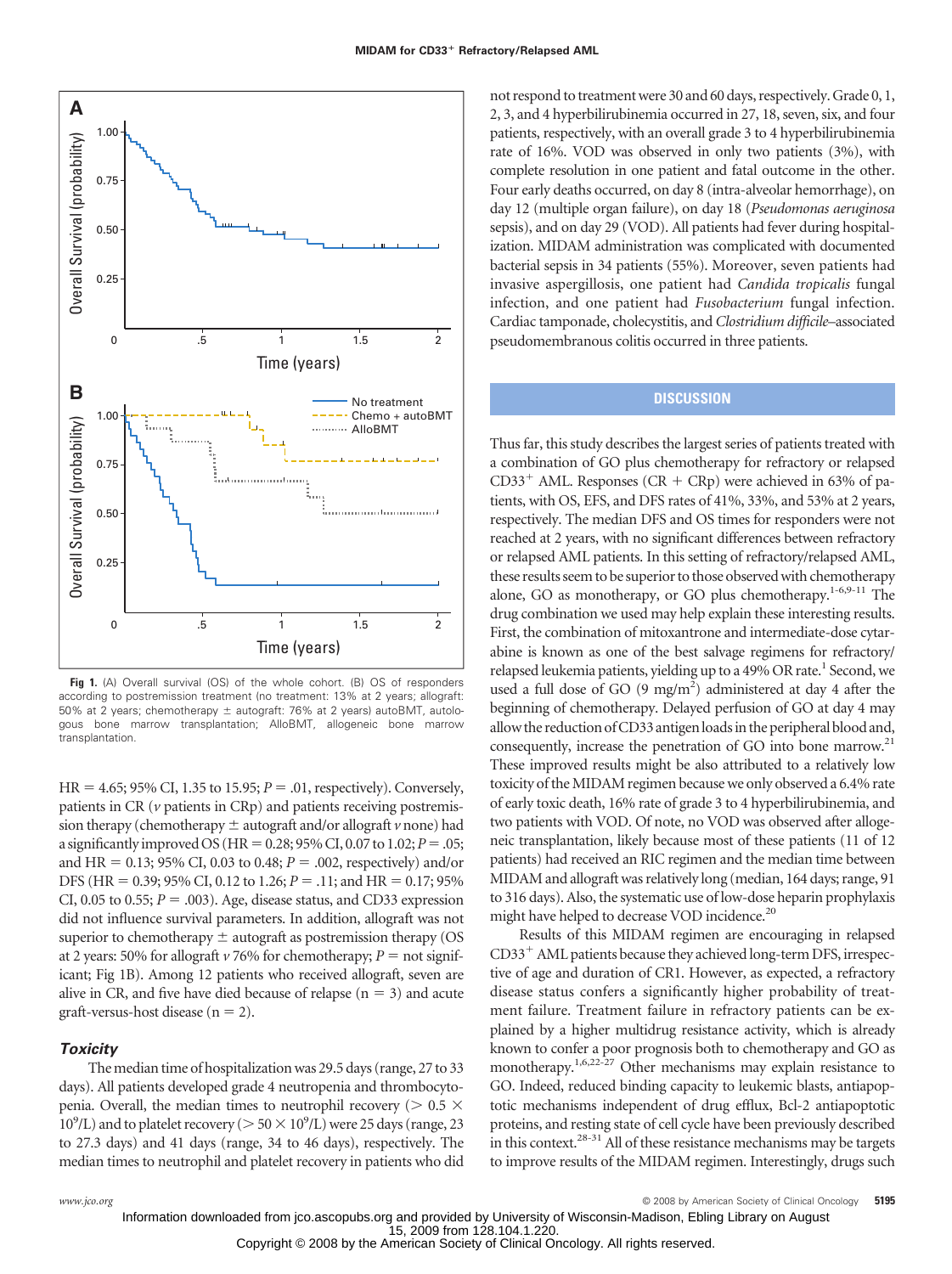

**Fig 1.** (A) Overall survival (OS) of the whole cohort. (B) OS of responders according to postremission treatment (no treatment: 13% at 2 years; allograft: 50% at 2 years; chemotherapy  $\pm$  autograft: 76% at 2 years) autoBMT, autologous bone marrow transplantation; AlloBMT, allogeneic bone marrow transplantation.

 $HR = 4.65$ ; 95% CI, 1.35 to 15.95;  $P = .01$ , respectively). Conversely, patients in CR (*v* patients in CRp) and patients receiving postremission therapy (chemotherapy  $\pm$  autograft and/or allograft  $\nu$  none) had a significantly improved OS (HR =  $0.28$ ; 95% CI, 0.07 to 1.02; *P* = .05; and HR =  $0.13$ ; 95% CI, 0.03 to 0.48;  $P = 0.002$ , respectively) and/or DFS (HR = 0.39; 95% CI, 0.12 to 1.26; *P* = .11; and HR = 0.17; 95% CI, 0.05 to 0.55;  $P = .003$ ). Age, disease status, and CD33 expression did not influence survival parameters. In addition, allograft was not superior to chemotherapy  $\pm$  autograft as postremission therapy (OS at 2 years: 50% for allograft  $\nu$  76% for chemotherapy;  $P = \text{not signif}$ icant; Fig 1B). Among 12 patients who received allograft, seven are alive in CR, and five have died because of relapse  $(n = 3)$  and acute  $graff-versus-host disease (n = 2).$ 

# *Toxicity*

The median time of hospitalization was 29.5 days (range, 27 to 33 days). All patients developed grade 4 neutropenia and thrombocytopenia. Overall, the median times to neutrophil recovery ( $> 0.5 \times$  $10^9$ /L) and to platelet recovery ( $> 50 \times 10^9$ /L) were 25 days (range, 23 to 27.3 days) and 41 days (range, 34 to 46 days), respectively. The median times to neutrophil and platelet recovery in patients who did not respond to treatmentwere 30 and 60 days, respectively. Grade 0, 1, 2, 3, and 4 hyperbilirubinemia occurred in 27, 18, seven, six, and four patients, respectively, with an overall grade 3 to 4 hyperbilirubinemia rate of 16%. VOD was observed in only two patients (3%), with complete resolution in one patient and fatal outcome in the other. Four early deaths occurred, on day 8 (intra-alveolar hemorrhage), on day 12 (multiple organ failure), on day 18 (*Pseudomonas aeruginosa* sepsis), and on day 29 (VOD). All patients had fever during hospitalization. MIDAM administration was complicated with documented bacterial sepsis in 34 patients (55%). Moreover, seven patients had invasive aspergillosis, one patient had *Candida tropicalis* fungal infection, and one patient had *Fusobacterium* fungal infection. Cardiac tamponade, cholecystitis, and *Clostridium difficile*–associated pseudomembranous colitis occurred in three patients.

# **DISCUSSION**

Thus far, this study describes the largest series of patients treated with a combination of GO plus chemotherapy for refractory or relapsed  $CD33<sup>+</sup>$  AML. Responses (CR + CRp) were achieved in 63% of patients, with OS, EFS, and DFS rates of 41%, 33%, and 53% at 2 years, respectively. The median DFS and OS times for responders were not reached at 2 years, with no significant differences between refractory or relapsed AML patients. In this setting of refractory/relapsed AML, these results seem to be superior to those observed with chemotherapy alone, GO as monotherapy, or GO plus chemotherapy. $1-6,9-11$  The drug combination we used may help explain these interesting results. First, the combination of mitoxantrone and intermediate-dose cytarabine is known as one of the best salvage regimens for refractory/ relapsed leukemia patients, yielding up to a 49% OR rate.<sup>1</sup> Second, we used a full dose of GO  $(9 \text{ mg/m}^2)$  administered at day 4 after the beginning of chemotherapy. Delayed perfusion of GO at day 4 may allow the reduction of CD33 antigen loads in the peripheral blood and, consequently, increase the penetration of GO into bone marrow.<sup>21</sup> These improved results might be also attributed to a relatively low toxicity of the MIDAM regimen because we only observed a 6.4% rate of early toxic death, 16% rate of grade 3 to 4 hyperbilirubinemia, and two patients with VOD. Of note, no VOD was observed after allogeneic transplantation, likely because most of these patients (11 of 12 patients) had received an RIC regimen and the median time between MIDAM and allograft was relatively long (median, 164 days; range, 91 to 316 days). Also, the systematic use of low-dose heparin prophylaxis might have helped to decrease VOD incidence.<sup>20</sup>

Results of this MIDAM regimen are encouraging in relapsed  $CD33<sup>+</sup>$  AML patients because they achieved long-term DFS, irrespective of age and duration of CR1. However, as expected, a refractory disease status confers a significantly higher probability of treatment failure. Treatment failure in refractory patients can be explained by a higher multidrug resistance activity, which is already known to confer a poor prognosis both to chemotherapy and GO as monotherapy.1,6,22-27 Other mechanisms may explain resistance to GO. Indeed, reduced binding capacity to leukemic blasts, antiapoptotic mechanisms independent of drug efflux, Bcl-2 antiapoptotic proteins, and resting state of cell cycle have been previously described in this context.<sup>28-31</sup> All of these resistance mechanisms may be targets to improve results of the MIDAM regimen. Interestingly, drugs such

*www.jco.org* © 2008 by American Society of Clinical Oncology **5195**

15, 2009 from 128.104.1.220.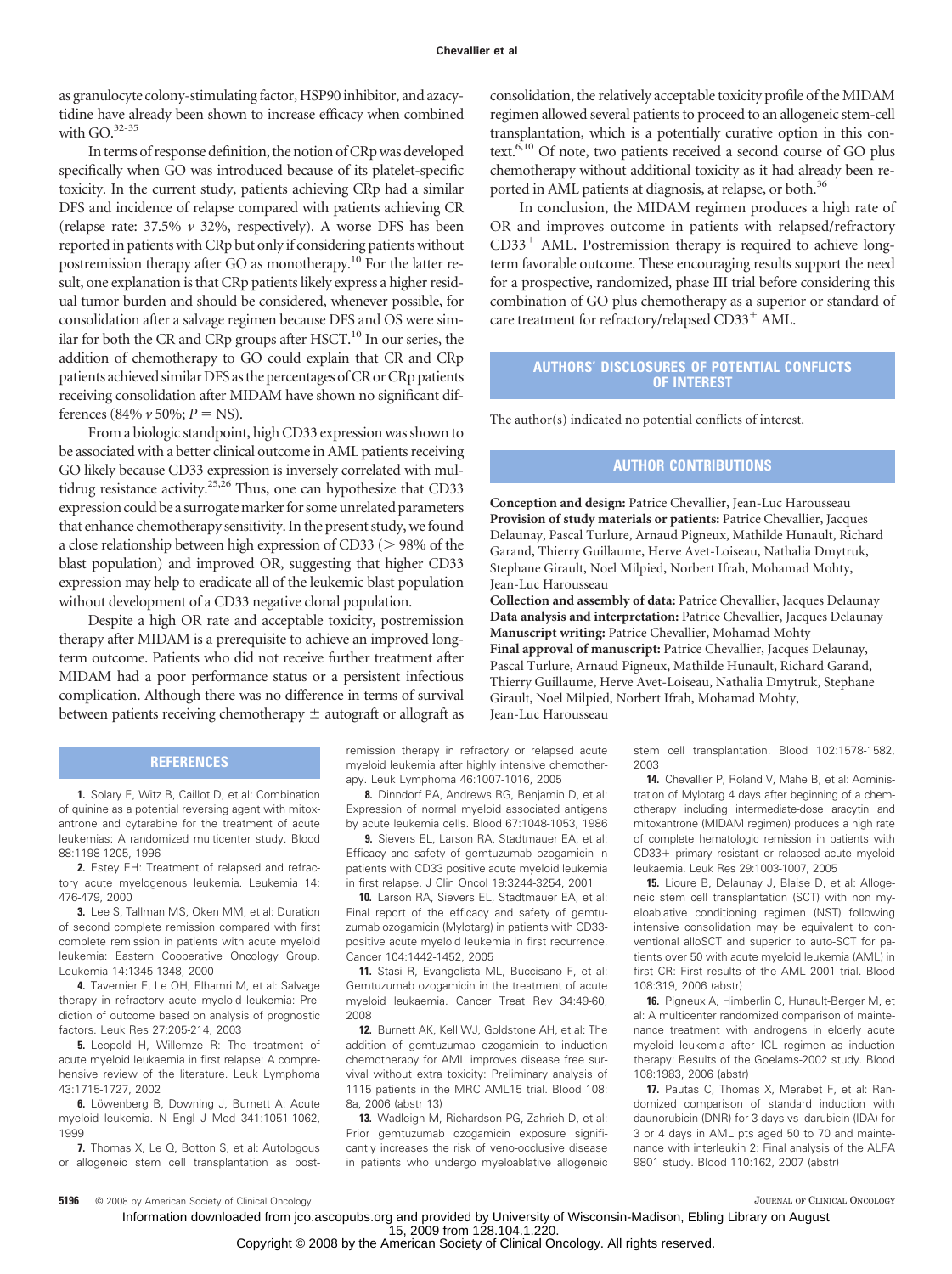as granulocyte colony-stimulating factor, HSP90 inhibitor, and azacytidine have already been shown to increase efficacy when combined with  $GO.^{32-35}$ 

In terms of response definition, the notion of CRp was developed specifically when GO was introduced because of its platelet-specific toxicity. In the current study, patients achieving CRp had a similar DFS and incidence of relapse compared with patients achieving CR (relapse rate: 37.5% *v* 32%, respectively). A worse DFS has been reported in patients with CRp but only if considering patients without postremission therapy after GO as monotherapy.10 For the latter result, one explanation is that CRp patients likely express a higher residual tumor burden and should be considered, whenever possible, for consolidation after a salvage regimen because DFS and OS were similar for both the CR and CRp groups after  $HSCT<sup>10</sup>$  In our series, the addition of chemotherapy to GO could explain that CR and CRp patients achieved similar DFS as the percentages of CR or CRp patients receiving consolidation after MIDAM have shown no significant differences (84%  $\nu$  50%;  $P = NS$ ).

From a biologic standpoint, high CD33 expression was shown to be associated with a better clinical outcome in AML patients receiving GO likely because CD33 expression is inversely correlated with multidrug resistance activity.<sup>25,26</sup> Thus, one can hypothesize that CD33 expression could be a surrogate marker for some unrelated parameters that enhance chemotherapy sensitivity. In the present study, we found a close relationship between high expression of CD33 ( $>$  98% of the blast population) and improved OR, suggesting that higher CD33 expression may help to eradicate all of the leukemic blast population without development of a CD33 negative clonal population.

Despite a high OR rate and acceptable toxicity, postremission therapy after MIDAM is a prerequisite to achieve an improved longterm outcome. Patients who did not receive further treatment after MIDAM had a poor performance status or a persistent infectious complication. Although there was no difference in terms of survival between patients receiving chemotherapy  $\pm$  autograft or allograft as

#### **REFERENCES**

**1.** Solary E, Witz B, Caillot D, et al: Combination of quinine as a potential reversing agent with mitoxantrone and cytarabine for the treatment of acute leukemias: A randomized multicenter study. Blood 88:1198-1205, 1996

**2.** Estey EH: Treatment of relapsed and refractory acute myelogenous leukemia. Leukemia 14: 476-479, 2000

**3.** Lee S, Tallman MS, Oken MM, et al: Duration of second complete remission compared with first complete remission in patients with acute myeloid leukemia: Eastern Cooperative Oncology Group. Leukemia 14:1345-1348, 2000

**4.** Tavernier E, Le QH, Elhamri M, et al: Salvage therapy in refractory acute myeloid leukemia: Prediction of outcome based on analysis of prognostic factors. Leuk Res 27:205-214, 2003

**5.** Leopold H, Willemze R: The treatment of acute myeloid leukaemia in first relapse: A comprehensive review of the literature. Leuk Lymphoma 43:1715-1727, 2002

**6.** Löwenberg B, Downing J, Burnett A: Acute myeloid leukemia. N Engl J Med 341:1051-1062, 1999

**7.** Thomas X, Le Q, Botton S, et al: Autologous or allogeneic stem cell transplantation as postconsolidation, the relatively acceptable toxicity profile of the MIDAM regimen allowed several patients to proceed to an allogeneic stem-cell transplantation, which is a potentially curative option in this context.<sup>6,10</sup> Of note, two patients received a second course of GO plus chemotherapy without additional toxicity as it had already been reported in AML patients at diagnosis, at relapse, or both.<sup>36</sup>

In conclusion, the MIDAM regimen produces a high rate of OR and improves outcome in patients with relapsed/refractory  $CD33<sup>+</sup>$  AML. Postremission therapy is required to achieve longterm favorable outcome. These encouraging results support the need for a prospective, randomized, phase III trial before considering this combination of GO plus chemotherapy as a superior or standard of care treatment for refractory/relapsed CD33<sup>+</sup> AML.

## **AUTHORS' DISCLOSURES OF POTENTIAL CONFLICTS OF INTEREST**

The author(s) indicated no potential conflicts of interest.

# **AUTHOR CONTRIBUTIONS**

**Conception and design:** Patrice Chevallier, Jean-Luc Harousseau **Provision of study materials or patients:** Patrice Chevallier, Jacques Delaunay, Pascal Turlure, Arnaud Pigneux, Mathilde Hunault, Richard Garand, Thierry Guillaume, Herve Avet-Loiseau, Nathalia Dmytruk, Stephane Girault, Noel Milpied, Norbert Ifrah, Mohamad Mohty, Jean-Luc Harousseau

**Collection and assembly of data:** Patrice Chevallier, Jacques Delaunay **Data analysis and interpretation:** Patrice Chevallier, Jacques Delaunay **Manuscript writing:** Patrice Chevallier, Mohamad Mohty **Final approval of manuscript:** Patrice Chevallier, Jacques Delaunay,

Pascal Turlure, Arnaud Pigneux, Mathilde Hunault, Richard Garand, Thierry Guillaume, Herve Avet-Loiseau, Nathalia Dmytruk, Stephane Girault, Noel Milpied, Norbert Ifrah, Mohamad Mohty, Jean-Luc Harousseau

remission therapy in refractory or relapsed acute myeloid leukemia after highly intensive chemotherapy. Leuk Lymphoma 46:1007-1016, 2005 2003

**8.** Dinndorf PA, Andrews RG, Benjamin D, et al: Expression of normal myeloid associated antigens by acute leukemia cells. Blood 67:1048-1053, 1986

**9.** Sievers EL, Larson RA, Stadtmauer EA, et al: Efficacy and safety of gemtuzumab ozogamicin in patients with CD33 positive acute myeloid leukemia in first relapse. J Clin Oncol 19:3244-3254, 2001

**10.** Larson RA, Sievers EL, Stadtmauer EA, et al: Final report of the efficacy and safety of gemtuzumab ozogamicin (Mylotarg) in patients with CD33 positive acute myeloid leukemia in first recurrence. Cancer 104:1442-1452, 2005

**11.** Stasi R, Evangelista ML, Buccisano F, et al: Gemtuzumab ozogamicin in the treatment of acute myeloid leukaemia. Cancer Treat Rev 34:49-60, 2008

**12.** Burnett AK, Kell WJ, Goldstone AH, et al: The addition of gemtuzumab ozogamicin to induction chemotherapy for AML improves disease free survival without extra toxicity: Preliminary analysis of 1115 patients in the MRC AML15 trial. Blood 108: 8a, 2006 (abstr 13)

**13.** Wadleigh M, Richardson PG, Zahrieh D, et al: Prior gemtuzumab ozogamicin exposure significantly increases the risk of veno-occlusive disease in patients who undergo myeloablative allogeneic stem cell transplantation. Blood 102:1578-1582,

**14.** Chevallier P, Roland V, Mahe B, et al: Administration of Mylotarg 4 days after beginning of a chemotherapy including intermediate-dose aracytin and mitoxantrone (MIDAM regimen) produces a high rate of complete hematologic remission in patients with CD33+ primary resistant or relapsed acute myeloid leukaemia. Leuk Res 29:1003-1007, 2005

**15.** Lioure B, Delaunay J, Blaise D, et al: Allogeneic stem cell transplantation (SCT) with non myeloablative conditioning regimen (NST) following intensive consolidation may be equivalent to conventional alloSCT and superior to auto-SCT for patients over 50 with acute myeloid leukemia (AML) in first CR: First results of the AML 2001 trial. Blood 108:319, 2006 (abstr)

**16.** Pigneux A, Himberlin C, Hunault-Berger M, et al: A multicenter randomized comparison of maintenance treatment with androgens in elderly acute myeloid leukemia after ICL regimen as induction therapy: Results of the Goelams-2002 study. Blood 108:1983, 2006 (abstr)

**17.** Pautas C, Thomas X, Merabet F, et al: Randomized comparison of standard induction with daunorubicin (DNR) for 3 days vs idarubicin (IDA) for 3 or 4 days in AML pts aged 50 to 70 and maintenance with interleukin 2: Final analysis of the ALFA 9801 study. Blood 110:162, 2007 (abstr)

**5196** © 2008 by American Society of Clinical Oncology **JOURNAL OF CLINICAL ONCOLOGY** JOURNAL OF CLINICAL ONCOLOGY

15, 2009 from 128.104.1.220. Information downloaded from jco.ascopubs.org and provided by University of Wisconsin-Madison, Ebling Library on August

Copyright © 2008 by the American Society of Clinical Oncology. All rights reserved.